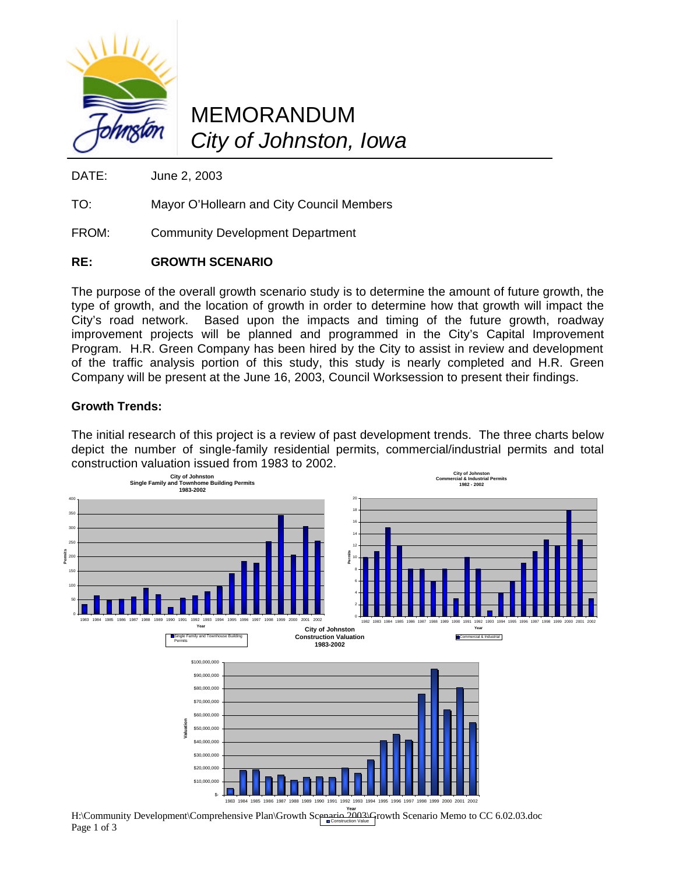

## MEMORANDUM *City of Johnston, Iowa*

DATE: June 2, 2003

TO: Mayor O'Hollearn and City Council Members

FROM: Community Development Department

## **RE: GROWTH SCENARIO**

The purpose of the overall growth scenario study is to determine the amount of future growth, the type of growth, and the location of growth in order to determine how that growth will impact the City's road network. Based upon the impacts and timing of the future growth, roadway improvement projects will be planned and programmed in the City's Capital Improvement Program. H.R. Green Company has been hired by the City to assist in review and development of the traffic analysis portion of this study, this study is nearly completed and H.R. Green Company will be present at the June 16, 2003, Council Worksession to present their findings.

### **Growth Trends:**

Page 1 of 3

The initial research of this project is a review of past development trends. The three charts below depict the number of single-family residential permits, commercial/industrial permits and total construction valuation issued from 1983 to 2002.



Construction Value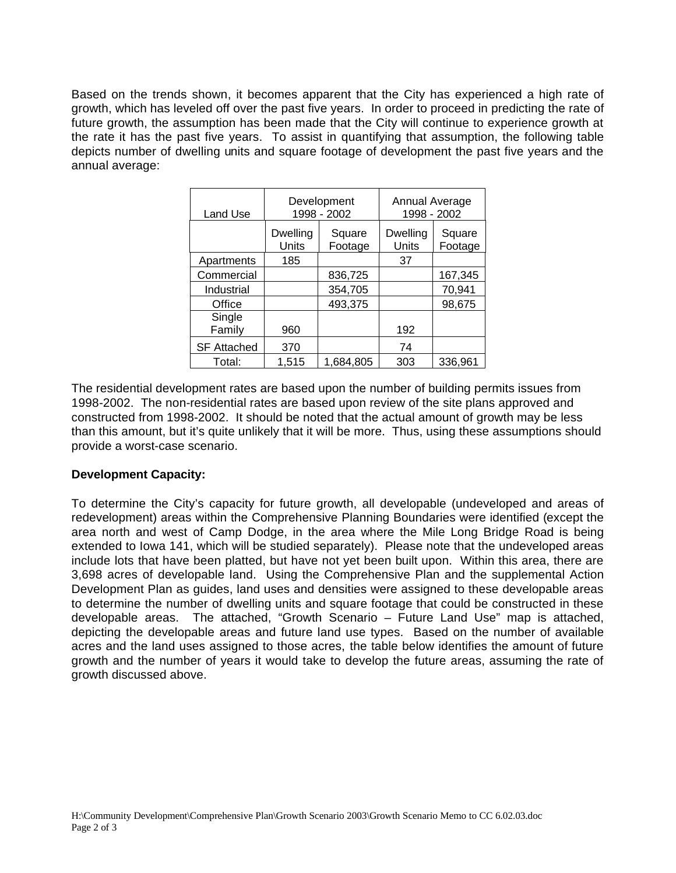Based on the trends shown, it becomes apparent that the City has experienced a high rate of growth, which has leveled off over the past five years. In order to proceed in predicting the rate of future growth, the assumption has been made that the City will continue to experience growth at the rate it has the past five years.To assist in quantifying that assumption, the following table depicts number of dwelling units and square footage of development the past five years and the annual average:

| Land Use           |                          | Development<br>1998 - 2002 | Annual Average<br>1998 - 2002   |                   |
|--------------------|--------------------------|----------------------------|---------------------------------|-------------------|
|                    | <b>Dwelling</b><br>Units | Square<br>Footage          | <b>Dwelling</b><br><b>Units</b> | Square<br>Footage |
| Apartments         | 185                      |                            | 37                              |                   |
| Commercial         |                          | 836,725                    |                                 | 167,345           |
| Industrial         |                          | 354,705                    |                                 | 70,941            |
| Office             |                          | 493,375                    |                                 | 98,675            |
| Single<br>Family   | 960                      |                            | 192                             |                   |
| <b>SF Attached</b> | 370                      |                            | 74                              |                   |
| Total:             | 1,515                    | 1.684.805                  | 303                             | 336,961           |

The residential development rates are based upon the number of building permits issues from 1998-2002. The non-residential rates are based upon review of the site plans approved and constructed from 1998-2002. It should be noted that the actual amount of growth may be less than this amount, but it's quite unlikely that it will be more. Thus, using these assumptions should provide a worst-case scenario.

### **Development Capacity:**

To determine the City's capacity for future growth, all developable (undeveloped and areas of redevelopment) areas within the Comprehensive Planning Boundaries were identified (except the area north and west of Camp Dodge, in the area where the Mile Long Bridge Road is being extended to Iowa 141, which will be studied separately). Please note that the undeveloped areas include lots that have been platted, but have not yet been built upon. Within this area, there are 3,698 acres of developable land. Using the Comprehensive Plan and the supplemental Action Development Plan as guides, land uses and densities were assigned to these developable areas to determine the number of dwelling units and square footage that could be constructed in these developable areas. The attached, "Growth Scenario – Future Land Use" map is attached, depicting the developable areas and future land use types. Based on the number of available acres and the land uses assigned to those acres, the table below identifies the amount of future growth and the number of years it would take to develop the future areas, assuming the rate of growth discussed above.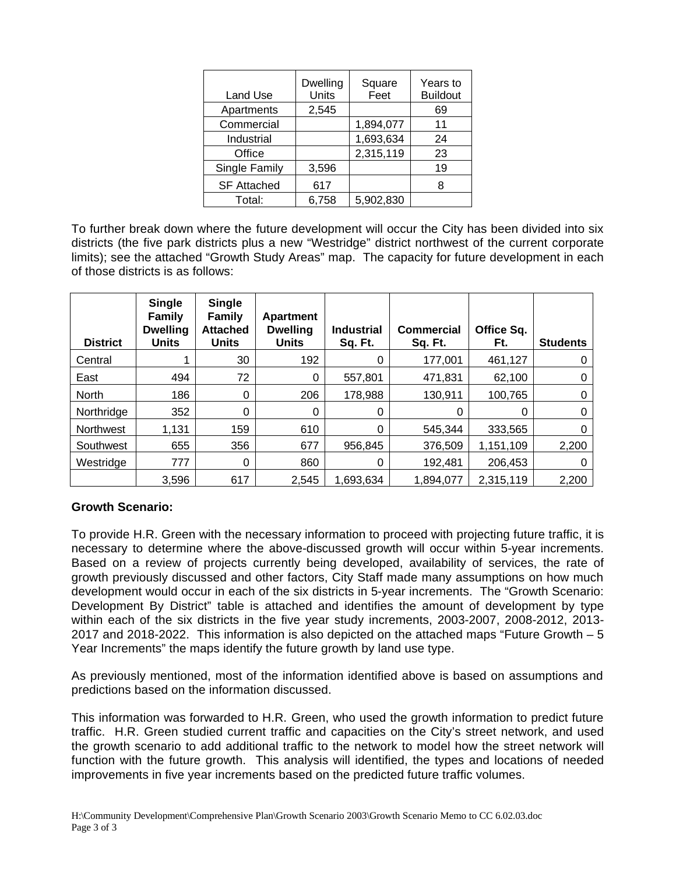| Land Use           | Dwelling<br>Units | Square<br>Feet | Years to<br><b>Buildout</b> |
|--------------------|-------------------|----------------|-----------------------------|
| Apartments         | 2,545             |                | 69                          |
| Commercial         |                   | 1,894,077      | 11                          |
| Industrial         |                   | 1,693,634      | 24                          |
| Office             |                   | 2,315,119      | 23                          |
| Single Family      | 3,596             |                | 19                          |
| <b>SF Attached</b> | 617               |                | 8                           |
| Total:             | 6,758             | 5,902,830      |                             |

To further break down where the future development will occur the City has been divided into six districts (the five park districts plus a new "Westridge" district northwest of the current corporate limits); see the attached "Growth Study Areas" map. The capacity for future development in each of those districts is as follows:

| <b>District</b>  | <b>Single</b><br><b>Family</b><br><b>Dwelling</b><br><b>Units</b> | <b>Single</b><br>Family<br><b>Attached</b><br><b>Units</b> | Apartment<br><b>Dwelling</b><br><b>Units</b> | <b>Industrial</b><br>Sq. Ft. | <b>Commercial</b><br>Sq. Ft. | Office Sq.<br>Ft. | <b>Students</b> |
|------------------|-------------------------------------------------------------------|------------------------------------------------------------|----------------------------------------------|------------------------------|------------------------------|-------------------|-----------------|
| Central          |                                                                   | 30                                                         | 192                                          | 0                            | 177,001                      | 461,127           |                 |
| East             | 494                                                               | 72                                                         | 0                                            | 557,801                      | 471,831                      | 62,100            | 0               |
| North            | 186                                                               | 0                                                          | 206                                          | 178,988                      | 130,911                      | 100,765           |                 |
| Northridge       | 352                                                               | 0                                                          | 0                                            | 0                            | 0                            | 0                 | 0               |
| <b>Northwest</b> | 1,131                                                             | 159                                                        | 610                                          | 0                            | 545.344                      | 333.565           |                 |
| Southwest        | 655                                                               | 356                                                        | 677                                          | 956,845                      | 376,509                      | 1,151,109         | 2,200           |
| Westridge        | 777                                                               | 0                                                          | 860                                          | 0                            | 192,481                      | 206,453           |                 |
|                  | 3,596                                                             | 617                                                        | 2,545                                        | 1,693,634                    | 1.894.077                    | 2,315,119         | 2,200           |

### **Growth Scenario:**

To provide H.R. Green with the necessary information to proceed with projecting future traffic, it is necessary to determine where the above-discussed growth will occur within 5-year increments. Based on a review of projects currently being developed, availability of services, the rate of growth previously discussed and other factors, City Staff made many assumptions on how much development would occur in each of the six districts in 5-year increments. The "Growth Scenario: Development By District" table is attached and identifies the amount of development by type within each of the six districts in the five year study increments, 2003-2007, 2008-2012, 2013- 2017 and 2018-2022. This information is also depicted on the attached maps "Future Growth – 5 Year Increments" the maps identify the future growth by land use type.

As previously mentioned, most of the information identified above is based on assumptions and predictions based on the information discussed.

This information was forwarded to H.R. Green, who used the growth information to predict future traffic. H.R. Green studied current traffic and capacities on the City's street network, and used the growth scenario to add additional traffic to the network to model how the street network will function with the future growth. This analysis will identified, the types and locations of needed improvements in five year increments based on the predicted future traffic volumes.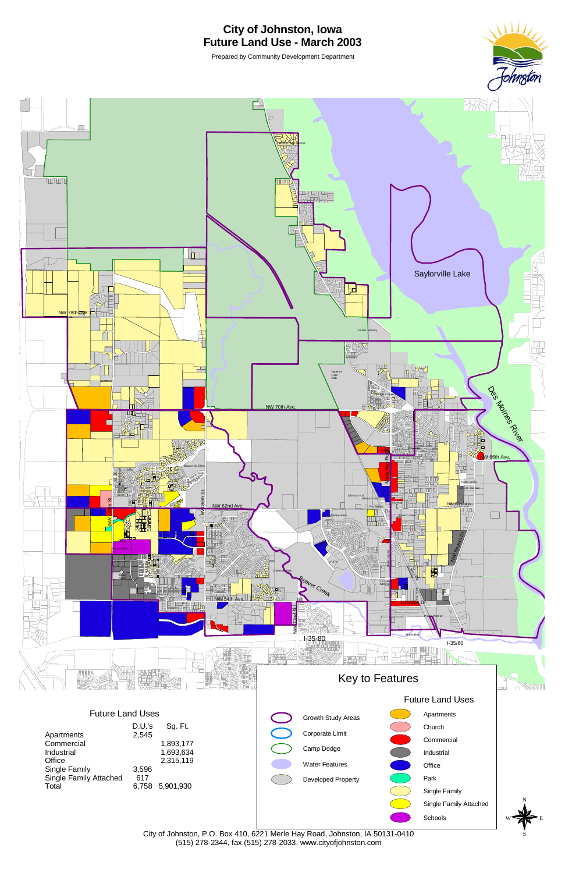

## **City of Johnston, Iowa Future Land Use - March 2003**

Prepared by Community Development Department

(515) 278-2344, fax (515) 278-2033, www.cityofjohnston.com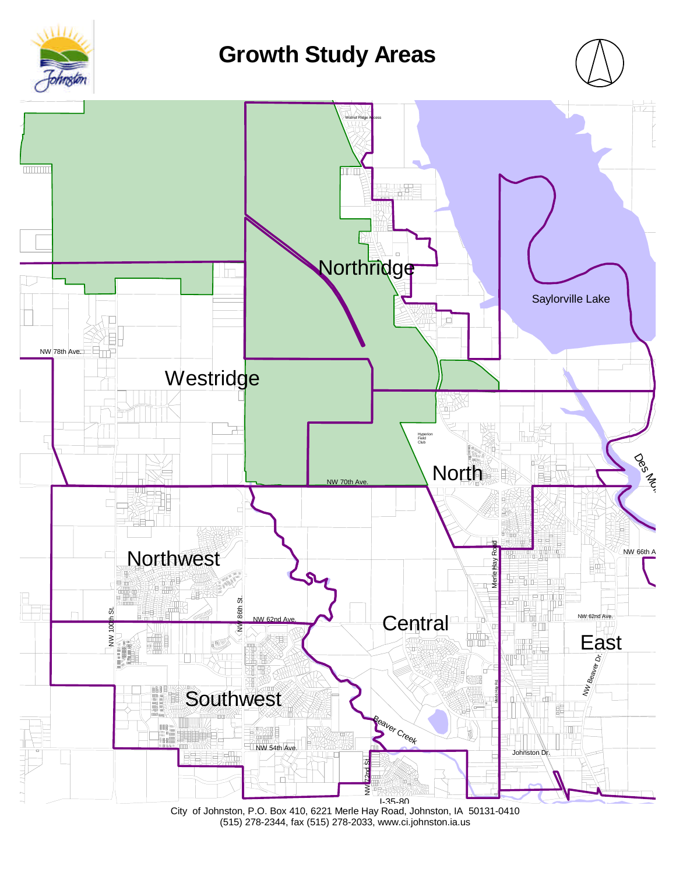

# **Growth Study Areas**





City of Johnston, P.O. Box 410, 6221 Merle Hay Road, Johnston, IA 50131-0410 (515) 278-2344, fax (515) 278-2033, www.ci.johnston.ia.us